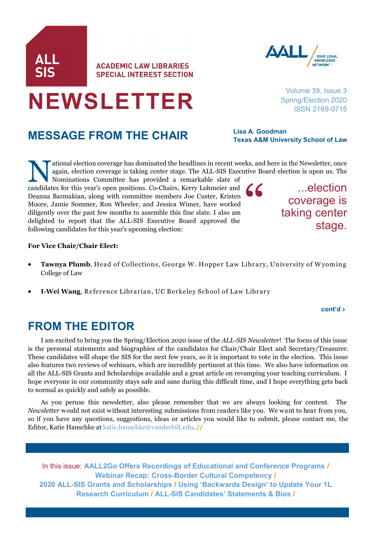# **MESSAGE FROM THE CHAIR**

**NEWSLETTER**

ational election coverage has dominated the headlines in recent we again, election coverage is taking center stage. The ALL-SIS Exection committee has provided a remarkable slate of candidates for this year's open position ational election coverage has dominated the headlines in recent weeks, and here in the Newsletter, once again, election coverage is taking center stage. The ALL-SIS Executive Board election is upon us. The

Nominations Committee has provided a remarkable slate of Deanna Barmakian, along with committee members Joe Custer, Kristen Moore, Jamie Sommer, Ron Wheeler, and Jessica Wimer, have worked diligently over the past few months to assemble this fine slate. I also am delighted to report that the ALL-SIS Executive Board approved the following candidates for this year's upcoming election: "

### **For Vice Chair/Chair Elect:**

- **Tawnya Plumb**, Head of Collections, George W. Hopper Law Library, University of Wyoming College of Law
- **I-Wei Wang**, Reference Librarian, UC Berkeley School of Law Library

### **FROM THE EDITOR**

I am excited to bring you the Spring/Election 2020 issue of the *ALL-SIS Newsletter*! The focus of this issue is the personal statements and biographies of the candidates for Chair/Chair Elect and Secretary/Treasurer. These candidates will shape the SIS for the next few years, so it is important to vote in the election. This issue also features two reviews of webinars, which are incredibly pertinent at this time. We also have information on all the ALL-SIS Grants and Scholarships available and a great article on revamping your teaching curriculum. I hope everyone in our community stays safe and sane during this difficult time, and I hope everything gets back to normal as quickly and safely as possible.

As you peruse this newsletter, also please remember that we are always looking for content. The *Newsletter* would not exist without interesting submissions from readers like you. We want to hear from you, so if you have any questions, suggestions, ideas or articles you would like to submit, please contact me, the Editor, Katie Hanschke at [katie.hanschke@vanderbilt.edu.](mailto:katie.hanschke@vanderbilt.edu?subject=ALL-SIS%20Newsletter) **//**

In this issue: **[AALL2Go Offers Recordings of Educational and Conference Programs](#page-1-0) / Webinar Recap: Cross-[Border Cultural Competency](#page-3-0) / 2020 ALL-[SIS Grants and Scholarships](#page-4-0) / [Using 'Backwards Design' to Update Your 1L](#page-7-0)  [Research Curriculum](#page-7-0) / [ALL](#page-9-0)-SIS [Candidates' Statements & Bios](#page-9-0) /**

# **SPECIAL INTEREST SECTION**

Volume 39, Issue 3 Spring/Election 2020 ISSN 2169-0715

**Lisa A. Goodman Texas A&M University School of Law**

> ...election coverage is taking center stage.





**ACADEMIC LAW LIBRARIES**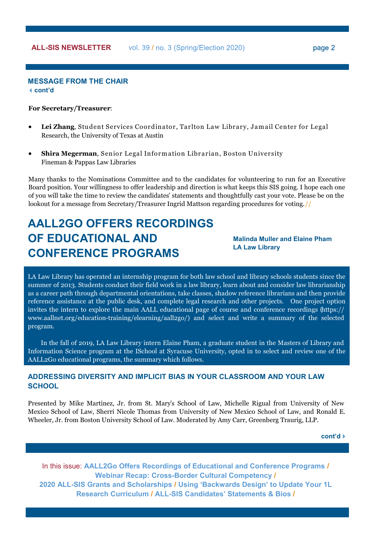### page 2

### <span id="page-1-0"></span>**MESSAGE FROM THE CHAIR cont'd**

#### **For Secretary/Treasurer**:

- **Lei Zhang**, Student Services Coordinator, Tarlton Law Library, Jam ail Center for Legal Research, the University of Texas at Austin
- **Shira Megerman**, Senior Legal Inform ation Librarian, Boston University Fineman & Pappas Law Libraries

Many thanks to the Nominations Committee and to the candidates for volunteering to run for an Executive Board position. Your willingness to offer leadership and direction is what keeps this SIS going. I hope each one of you will take the time to review the candidates' statements and thoughtfully cast your vote. Please be on the lookout for a message from Secretary/Treasurer Ingrid Mattson regarding procedures for voting. //

## **AALL2GO OFFERS RECORDINGS OF EDUCATIONAL AND CONFERENCE PROGRAMS**

**Malinda Muller and Elaine Pham LA Law Library**

LA Law Library has operated an internship program for both law school and library schools students since the summer of 2013. Students conduct their field work in a law library, learn about and consider law librarianship as a career path through departmental orientations, take classes, shadow reference librarians and then provide reference assistance at the public desk, and complete legal research and other projects. One project option invites the intern to explore the main AALL educational page of course and conference recordings [\(https://](https://www.aallnet.org/education-training/elearning/aall2go/) www.aallnet.org/education-[training/elearning/aall2go/\)](https://www.aallnet.org/education-training/elearning/aall2go/) and select and write a summary of the selected program.

In the fall of 2019, LA Law Library intern Elaine Pham, a graduate student in the Masters of Library and Information Science program at the ISchool at Syracuse University, opted in to select and review one of the AALL2Go educational programs, the summary which follows.

### **ADDRESSING DIVERSITY AND IMPLICIT BIAS IN YOUR CLASSROOM AND YOUR LAW SCHOOL**

Presented by Mike Martinez, Jr. from St. Mary's School of Law, Michelle Rigual from University of New Mexico School of Law, Sherri Nicole Thomas from University of New Mexico School of Law, and Ronald E. Wheeler, Jr. from Boston University School of Law. Moderated by Amy Carr, Greenberg Traurig, LLP.

**cont'd**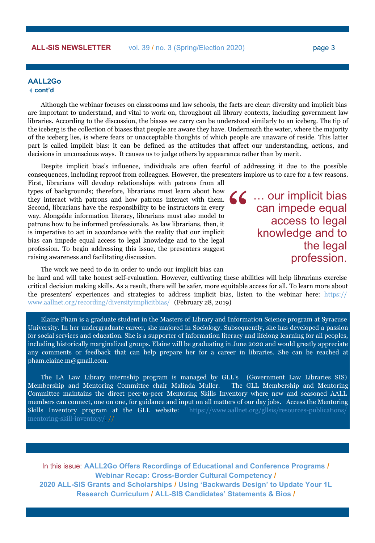### **ALL-SIS NEWSLETTER** vol. 39 / no. 3 (Spring/Election 2020)

page 3

### **AALL2Go cont'd**

Although the webinar focuses on classrooms and law schools, the facts are clear: diversity and implicit bias are important to understand, and vital to work on, throughout all library contexts, including government law libraries. According to the discussion, the biases we carry can be understood similarly to an iceberg. The tip of the iceberg is the collection of biases that people are aware they have. Underneath the water, where the majority of the iceberg lies, is where fears or unacceptable thoughts of which people are unaware of reside. This latter part is called implicit bias: it can be defined as the attitudes that affect our understanding, actions, and decisions in unconscious ways. It causes us to judge others by appearance rather than by merit.

Despite implicit bias's influence, individuals are often fearful of addressing it due to the possible consequences, including reproof from colleagues. However, the presenters implore us to care for a few reasons.

First, librarians will develop relationships with patrons from all types of backgrounds; therefore, librarians must learn about how they interact with patrons and how patrons interact with them. Second, librarians have the responsibility to be instructors in every way. Alongside information literacy, librarians must also model to patrons how to be informed professionals. As law librarians, then, it is imperative to act in accordance with the reality that our implicit bias can impede equal access to legal knowledge and to the legal profession. To begin addressing this issue, the presenters suggest raising awareness and facilitating discussion.

… our implicit bias can impede equal access to legal knowledge and to the legal profession. "

The work we need to do in order to undo our implicit bias can

be hard and will take honest self-evaluation. However, cultivating these abilities will help librarians exercise critical decision making skills. As a result, there will be safer, more equitable access for all. To learn more about the presenters' experiences and strategies to address implicit bias, listen to the webinar here: [https://](https://www.aallnet.org/recording/diversityimplicitbias/) [www.aallnet.org/recording/diversityimplicitbias/](https://www.aallnet.org/recording/diversityimplicitbias/) (February 28, 2019)

Elaine Pham is a graduate student in the Masters of Library and Information Science program at Syracuse University. In her undergraduate career, she majored in Sociology. Subsequently, she has developed a passion for social services and education. She is a supporter of information literacy and lifelong learning for all peoples, including historically marginalized groups. Elaine will be graduating in June 2020 and would greatly appreciate any comments or feedback that can help prepare her for a career in libraries. She can be reached at pham.elaine.m@gmail.com.

The LA Law Library internship program is managed by GLL's (Government Law Libraries SIS) Membership and Mentoring Committee chair Malinda Muller. The GLL Membership and Mentoring Committee maintains the direct peer-to-peer Mentoring Skills Inventory where new and seasoned AALL members can connect, one on one, for guidance and input on all matters of our day jobs. Access the Mentoring Skills Inventory program at the GLL website: [https://www.aallnet.org/gllsis/resources](https://www.aallnet.org/gllsis/resources-publications/mentoring-skill-inventory/)-publications/ mentoring-skill-[inventory/.](https://www.aallnet.org/gllsis/resources-publications/mentoring-skill-inventory/) //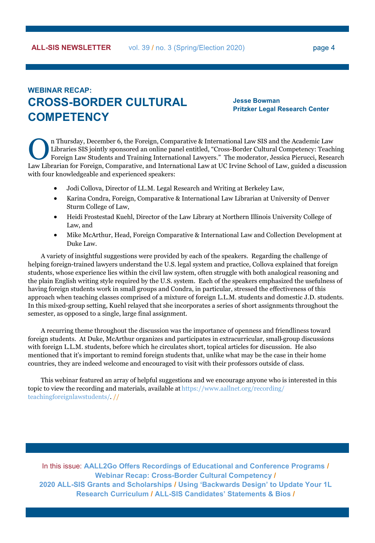### <span id="page-3-0"></span>**WEBINAR RECAP: CROSS-BORDER CULTURAL COMPETENCY**

**Jesse Bowman Pritzker Legal Research Center**

In Thursday, December 6, the Foreign, Comparative & International Law SIS and the Academic Law Libraries SIS jointly sponsored an online panel entitled, "Cross-Border Cultural Competency: Teaching Foreign Law Students and n Thursday, December 6, the Foreign, Comparative & International Law SIS and the Academic Law Libraries SIS jointly sponsored an online panel entitled, "Cross-Border Cultural Competency: Teaching Foreign Law Students and Training International Lawyers." The moderator, Jessica Pierucci, Research with four knowledgeable and experienced speakers:

- Jodi Collova, Director of LL.M. Legal Research and Writing at Berkeley Law,
- Karina Condra, Foreign, Comparative & International Law Librarian at University of Denver Sturm College of Law,
- Heidi Frostestad Kuehl, Director of the Law Library at Northern Illinois University College of Law, and
- Mike McArthur, Head, Foreign Comparative & International Law and Collection Development at Duke Law.

A variety of insightful suggestions were provided by each of the speakers. Regarding the challenge of helping foreign-trained lawyers understand the U.S. legal system and practice, Collova explained that foreign students, whose experience lies within the civil law system, often struggle with both analogical reasoning and the plain English writing style required by the U.S. system. Each of the speakers emphasized the usefulness of having foreign students work in small groups and Condra, in particular, stressed the effectiveness of this approach when teaching classes comprised of a mixture of foreign L.L.M. students and domestic J.D. students. In this mixed-group setting, Kuehl relayed that she incorporates a series of short assignments throughout the semester, as opposed to a single, large final assignment.

A recurring theme throughout the discussion was the importance of openness and friendliness toward foreign students. At Duke, McArthur organizes and participates in extracurricular, small-group discussions with foreign L.L.M. students, before which he circulates short, topical articles for discussion. He also mentioned that it's important to remind foreign students that, unlike what may be the case in their home countries, they are indeed welcome and encouraged to visit with their professors outside of class.

This webinar featured an array of helpful suggestions and we encourage anyone who is interested in this topic to view the recording and materials, available at [https://www.aallnet.org/recording/](https://www.aallnet.org/recording/teachingforeignlawstudents/) [teachingforeignlawstudents/.](https://www.aallnet.org/recording/teachingforeignlawstudents/) //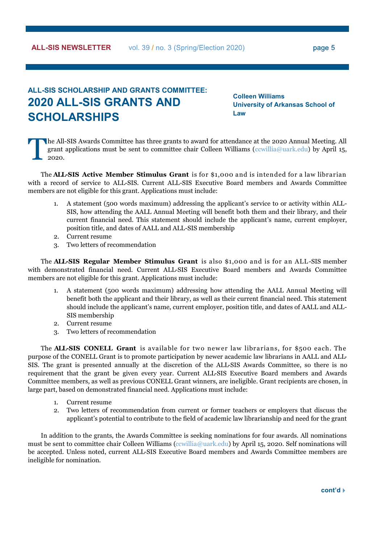### <span id="page-4-0"></span>**ALL-SIS SCHOLARSHIP AND GRANTS COMMITTEE: 2020 ALL-SIS GRANTS AND SCHOLARSHIPS**

**Colleen Williams University of Arkansas School of Law** 

T he All-SIS Awards Committee has three grants to award for attendance at the 2020 Annual Meeting. All grant applications must be sent to committee chair Colleen Williams [\(ccwillia@uark.edu\)](mailto:ccwillia@uark.edu) by April 15, 2020.

The **ALL-SIS Active Member Stimulus Grant** is for \$1,000 and is intended for a law librarian with a record of service to ALL-SIS. Current ALL-SIS Executive Board members and Awards Committee members are not eligible for this grant. Applications must include:

- 1. A statement (500 words maximum) addressing the applicant's service to or activity within ALL-SIS, how attending the AALL Annual Meeting will benefit both them and their library, and their current financial need. This statement should include the applicant's name, current employer, position title, and dates of AALL and ALL-SIS membership
- 2. Current resume
- 3. Two letters of recommendation

The **ALL-SIS Regular Member Stimulus Grant** is also \$1,000 and is for an ALL-SIS member with demonstrated financial need. Current ALL-SIS Executive Board members and Awards Committee members are not eligible for this grant. Applications must include:

- 1. A statement (500 words maximum) addressing how attending the AALL Annual Meeting will benefit both the applicant and their library, as well as their current financial need. This statement should include the applicant's name, current employer, position title, and dates of AALL and ALL-SIS membership
- 2. Current resume
- 3. Two letters of recommendation

The **ALL**-SIS CONELL Grant is available for two newer law librarians, for \$500 each. The purpose of the CONELL Grant is to promote participation by newer academic law librarians in AALL and ALL-SIS. The grant is presented annually at the discretion of the ALL-SIS Awards Committee, so there is no requirement that the grant be given every year. Current ALL-SIS Executive Board members and Awards Committee members, as well as previous CONELL Grant winners, are ineligible. Grant recipients are chosen, in large part, based on demonstrated financial need. Applications must include:

- 1. Current resume
- 2. Two letters of recommendation from current or former teachers or employers that discuss the applicant's potential to contribute to the field of academic law librarianship and need for the grant

In addition to the grants, the Awards Committee is seeking nominations for four awards. All nominations must be sent to committee chair Colleen Williams [\(ccwillia@uark.edu\)](mailto:ccwillia@uark.edu) by April 15, 2020. Self nominations will be accepted. Unless noted, current ALL-SIS Executive Board members and Awards Committee members are ineligible for nomination.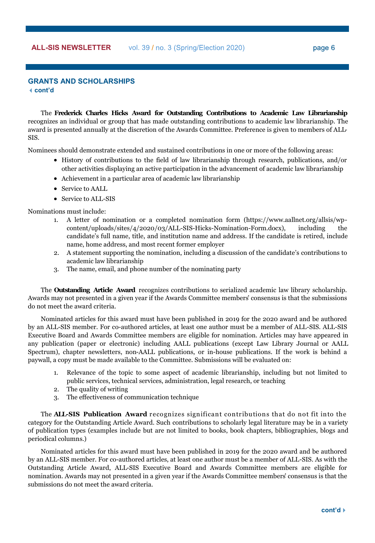### **GRANTS AND SCHOLARSHIPS cont'd**

The **Frederick Charles Hicks Award for Outstanding Contributions to Academic Law Librarianship**  recognizes an individual or group that has made outstanding contributions to academic law librarianship. The award is presented annually at the discretion of the Awards Committee. Preference is given to members of ALL-SIS.

Nominees should demonstrate extended and sustained contributions in one or more of the following areas:

- History of contributions to the field of law librarianship through research, publications, and/or other activities displaying an active participation in the advancement of academic law librarianship
- Achievement in a particular area of academic law librarianship
- Service to AALL
- Service to ALL-SIS

Nominations must include:

- 1. A letter of nomination or a completed nomination form (https://www.aallnet.org/allsis/wpcontent/uploads/sites/4/2020/03/ALL-SIS-Hicks-Nomination-Form.docx), including the candidate's full name, title, and institution name and address. If the candidate is retired, include name, home address, and most recent former employer
- 2. A statement supporting the nomination, including a discussion of the candidate's contributions to academic law librarianship
- 3. The name, email, and phone number of the nominating party

The **Outstanding Article Award** recognizes contributions to serialized academic law library scholarship. Awards may not presented in a given year if the Awards Committee members' consensus is that the submissions do not meet the award criteria.

Nominated articles for this award must have been published in 2019 for the 2020 award and be authored by an ALL-SIS member. For co-authored articles, at least one author must be a member of ALL-SIS. ALL-SIS Executive Board and Awards Committee members are eligible for nomination. Articles may have appeared in any publication (paper or electronic) including AALL publications (except Law Library Journal or AALL Spectrum), chapter newsletters, non-AALL publications, or in-house publications. If the work is behind a paywall, a copy must be made available to the Committee. Submissions will be evaluated on:

- 1. Relevance of the topic to some aspect of academic librarianship, including but not limited to public services, technical services, administration, legal research, or teaching
- 2. The quality of writing
- 3. The effectiveness of communication technique

The **ALL-SIS Publication Award** recognizes significant contributions that do not fit into the category for the Outstanding Article Award. Such contributions to scholarly legal literature may be in a variety of publication types (examples include but are not limited to books, book chapters, bibliographies, blogs and periodical columns.)

Nominated articles for this award must have been published in 2019 for the 2020 award and be authored by an ALL-SIS member. For co-authored articles, at least one author must be a member of ALL-SIS. As with the Outstanding Article Award, ALL-SIS Executive Board and Awards Committee members are eligible for nomination. Awards may not presented in a given year if the Awards Committee members' consensus is that the submissions do not meet the award criteria.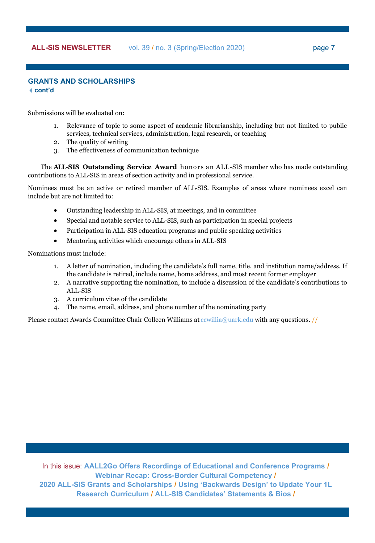### **GRANTS AND SCHOLARSHIPS cont'd**

Submissions will be evaluated on:

- 1. Relevance of topic to some aspect of academic librarianship, including but not limited to public services, technical services, administration, legal research, or teaching
- 2. The quality of writing
- 3. The effectiveness of communication technique

The **ALL-SIS Outstanding Service Award** honors an ALL-SIS member who has made outstanding contributions to ALL-SIS in areas of section activity and in professional service.

Nominees must be an active or retired member of ALL-SIS. Examples of areas where nominees excel can include but are not limited to:

- Outstanding leadership in ALL-SIS, at meetings, and in committee
- Special and notable service to ALL-SIS, such as participation in special projects
- Participation in ALL-SIS education programs and public speaking activities
- Mentoring activities which encourage others in ALL-SIS

Nominations must include:

- 1. A letter of nomination, including the candidate's full name, title, and institution name/address. If the candidate is retired, include name, home address, and most recent former employer
- 2. A narrative supporting the nomination, to include a discussion of the candidate's contributions to ALL-SIS
- 3. A curriculum vitae of the candidate
- 4. The name, email, address, and phone number of the nominating party

Please contact Awards Committee Chair Colleen Williams at [ccwillia@uark.edu](mailto:ccwillia@uark.edu) with any questions. //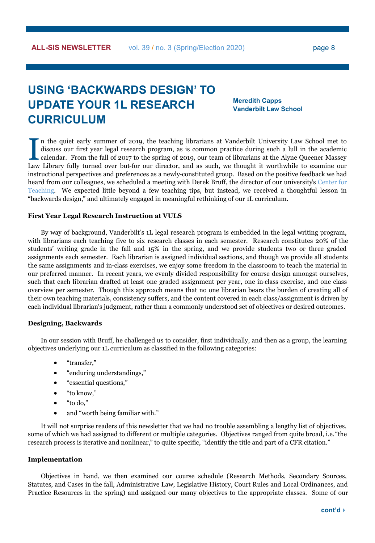# <span id="page-7-0"></span>**USING 'BACKWARDS DESIGN' TO UPDATE YOUR 1L RESEARCH CURRICULUM**

**Meredith Capps Vanderbilt Law School**

In the quiet early summer of 2019, the teaching librarians at Vanderbilt University Law School met to discuss our first year legal research program, as is common practice during such a lull in the academic calendar. From t n the quiet early summer of 2019, the teaching librarians at Vanderbilt University Law School met to discuss our first year legal research program, as is common practice during such a lull in the academic calendar. From the fall of 2017 to the spring of 2019, our team of librarians at the Alyne Queener Massey instructional perspectives and preferences as a newly-constituted group. Based on the positive feedback we had heard from our colleagues, we scheduled a meeting with Derek Bruff, the director of our university's [Center for](https://cft.vanderbilt.edu/)  [Teaching.](https://cft.vanderbilt.edu/) We expected little beyond a few teaching tips, but instead, we received a thoughtful lesson in "backwards design," and ultimately engaged in meaningful rethinking of our 1L curriculum.

#### **First Year Legal Research Instruction at VULS**

By way of background, Vanderbilt's 1L legal research program is embedded in the legal writing program, with librarians each teaching five to six research classes in each semester. Research constitutes 20% of the students' writing grade in the fall and 15% in the spring, and we provide students two or three graded assignments each semester. Each librarian is assigned individual sections, and though we provide all students the same assignments and in-class exercises, we enjoy some freedom in the classroom to teach the material in our preferred manner. In recent years, we evenly divided responsibility for course design amongst ourselves, such that each librarian drafted at least one graded assignment per year, one in-class exercise, and one class overview per semester. Though this approach means that no one librarian bears the burden of creating all of their own teaching materials, consistency suffers, and the content covered in each class/assignment is driven by each individual librarian's judgment, rather than a commonly understood set of objectives or desired outcomes.

#### **Designing, Backwards**

In our session with Bruff, he challenged us to consider, first individually, and then as a group, the learning objectives underlying our 1L curriculum as classified in the following categories:

- "transfer,"
- "enduring understandings,"
- "essential questions,"
- "to know,"
- "to do,"
- and "worth being familiar with."

It will not surprise readers of this newsletter that we had no trouble assembling a lengthy list of objectives, some of which we had assigned to different or multiple categories. Objectives ranged from quite broad, i.e. "the research process is iterative and nonlinear," to quite specific, "identify the title and part of a CFR citation."

#### **Implementation**

Objectives in hand, we then examined our course schedule (Research Methods, Secondary Sources, Statutes, and Cases in the fall, Administrative Law, Legislative History, Court Rules and Local Ordinances, and Practice Resources in the spring) and assigned our many objectives to the appropriate classes. Some of our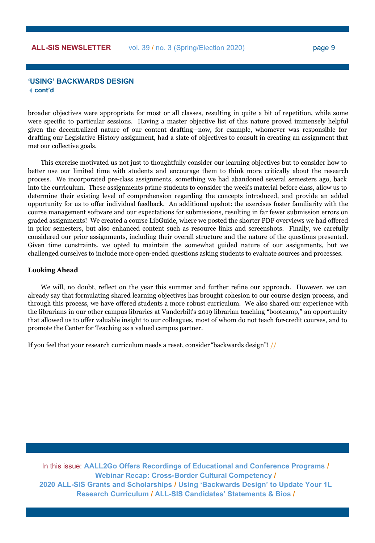### **'USING' BACKWARDS DESIGN cont'd**

broader objectives were appropriate for most or all classes, resulting in quite a bit of repetition, while some were specific to particular sessions. Having a master objective list of this nature proved immensely helpful given the decentralized nature of our content drafting—now, for example, whomever was responsible for drafting our Legislative History assignment, had a slate of objectives to consult in creating an assignment that met our collective goals.

This exercise motivated us not just to thoughtfully consider our learning objectives but to consider how to better use our limited time with students and encourage them to think more critically about the research process. We incorporated pre-class assignments, something we had abandoned several semesters ago, back into the curriculum. These assignments prime students to consider the week's material before class, allow us to determine their existing level of comprehension regarding the concepts introduced, and provide an added opportunity for us to offer individual feedback. An additional upshot: the exercises foster familiarity with the course management software and our expectations for submissions, resulting in far fewer submission errors on graded assignments! We created a course LibGuide, where we posted the shorter PDF overviews we had offered in prior semesters, but also enhanced content such as resource links and screenshots. Finally, we carefully considered our prior assignments, including their overall structure and the nature of the questions presented. Given time constraints, we opted to maintain the somewhat guided nature of our assignments, but we challenged ourselves to include more open-ended questions asking students to evaluate sources and processes.

#### **Looking Ahead**

We will, no doubt, reflect on the year this summer and further refine our approach. However, we can already say that formulating shared learning objectives has brought cohesion to our course design process, and through this process, we have offered students a more robust curriculum. We also shared our experience with the librarians in our other campus libraries at Vanderbilt's 2019 librarian teaching "bootcamp," an opportunity that allowed us to offer valuable insight to our colleagues, most of whom do not teach for-credit courses, and to promote the Center for Teaching as a valued campus partner.

If you feel that your research curriculum needs a reset, consider "backwards design"! //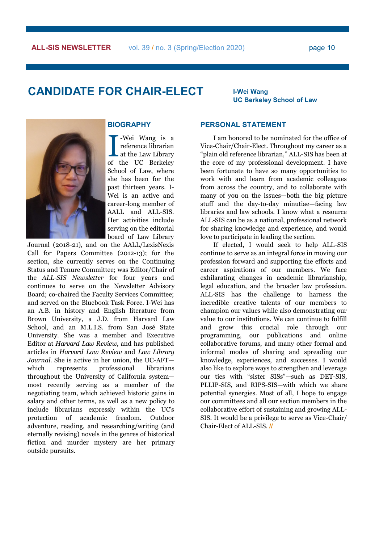## <span id="page-9-0"></span>**CANDIDATE FOR CHAIR-ELECT <sup>I</sup>-Wei Wang**

**UC Berkeley School of Law**



### **BIOGRAPHY**

**I** -Wei Wang is a reference librarian<br>at the Law Library<br>of the UC Berkeley -Wei Wang is a reference librarian at the Law Library School of Law, where she has been for the past thirteen years. I-Wei is an active and career-long member of AALL and ALL-SIS. Her activities include serving on the editorial board of Law Library

Journal (2018-21), and on the AALL/LexisNexis Call for Papers Committee (2012-13); for the section, she currently serves on the Continuing Status and Tenure Committee; was Editor/Chair of the *ALL-SIS Newsletter* for four years and continues to serve on the Newsletter Advisory Board; co-chaired the Faculty Services Committee; and served on the Bluebook Task Force. I-Wei has an A.B. in history and English literature from Brown University, a J.D. from Harvard Law School, and an M.L.I.S. from San José State University. She was a member and Executive Editor at *Harvard Law Review*, and has published articles in *Harvard Law Review* and *Law Library Journal*. She is active in her union, the UC-AFT which represents professional librarians throughout the University of California system most recently serving as a member of the negotiating team, which achieved historic gains in salary and other terms, as well as a new policy to include librarians expressly within the UC's protection of academic freedom. Outdoor adventure, reading, and researching/writing (and eternally revising) novels in the genres of historical fiction and murder mystery are her primary outside pursuits.

### **PERSONAL STATEMENT**

I am honored to be nominated for the office of Vice-Chair/Chair-Elect. Throughout my career as a "plain old reference librarian," ALL-SIS has been at the core of my professional development. I have been fortunate to have so many opportunities to work with and learn from academic colleagues from across the country, and to collaborate with many of you on the issues—both the big picture stuff and the day-to-day minutiae—facing law libraries and law schools. I know what a resource ALL-SIS can be as a national, professional network for sharing knowledge and experience, and would love to participate in leading the section.

If elected, I would seek to help ALL-SIS continue to serve as an integral force in moving our profession forward and supporting the efforts and career aspirations of our members. We face exhilarating changes in academic librarianship, legal education, and the broader law profession. ALL-SIS has the challenge to harness the incredible creative talents of our members to champion our values while also demonstrating our value to our institutions. We can continue to fulfill and grow this crucial role through our programming, our publications and online collaborative forums, and many other formal and informal modes of sharing and spreading our knowledge, experiences, and successes. I would also like to explore ways to strengthen and leverage our ties with "sister SISs"—such as DET-SIS, PLLIP-SIS, and RIPS-SIS—with which we share potential synergies. Most of all, I hope to engage our committees and all our section members in the collaborative effort of sustaining and growing ALL-SIS. It would be a privilege to serve as Vice-Chair/ Chair-Elect of ALL-SIS. **//**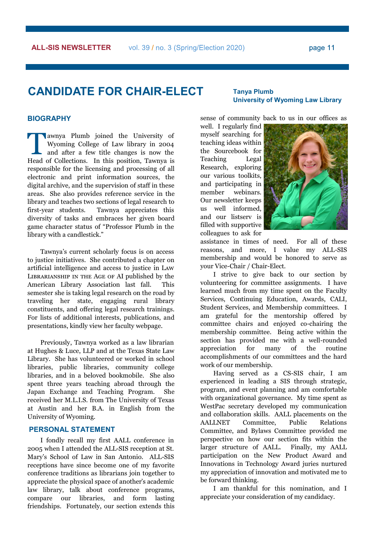page 11

### **CANDIDATE FOR CHAIR-ELECT Tanya Plumb**

#### **BIOGRAPHY**

The Tawnya Plumb joined the University of Wyoming College of Law library in 2004<br>and after a few title changes is now the<br>Head of Collections. In this position, Tawnya is awnya Plumb joined the University of Wyoming College of Law library in 2004 and after a few title changes is now the responsible for the licensing and processing of all electronic and print information sources, the digital archive, and the supervision of staff in these areas. She also provides reference service in the library and teaches two sections of legal research to first-year students. Tawnya appreciates this diversity of tasks and embraces her given board game character status of "Professor Plumb in the library with a candlestick."

Tawnya's current scholarly focus is on access to justice initiatives. She contributed a chapter on artificial intelligence and access to justice in Law Librarianship in the Age of AI published by the American Library Association last fall. This semester she is taking legal research on the road by traveling her state, engaging rural library constituents, and offering legal research trainings. For lists of additional interests, publications, and presentations, kindly view her faculty webpage.

Previously, Tawnya worked as a law librarian at Hughes & Luce, LLP and at the Texas State Law Library. She has volunteered or worked in school libraries, public libraries, community college libraries, and in a beloved bookmobile. She also spent three years teaching abroad through the Japan Exchange and Teaching Program. She received her M.L.I.S. from The University of Texas at Austin and her B.A. in English from the University of Wyoming.

### **PERSONAL STATEMENT**

I fondly recall my first AALL conference in 2005 when I attended the ALL-SIS reception at St. Mary's School of Law in San Antonio. ALL-SIS receptions have since become one of my favorite conference traditions as librarians join together to appreciate the physical space of another's academic law library, talk about conference programs, compare our libraries, and form lasting friendships. Fortunately, our section extends this

## **University of Wyoming Law Library**

sense of community back to us in our offices as

well. I regularly find myself searching for teaching ideas within the Sourcebook for Teaching Legal Research, exploring our various toolkits, and participating in member webinars. Our newsletter keeps us well informed, and our listserv is filled with supportive colleagues to ask for



assistance in times of need. For all of these reasons, and more, I value my ALL-SIS membership and would be honored to serve as your Vice-Chair / Chair-Elect.

I strive to give back to our section by volunteering for committee assignments. I have learned much from my time spent on the Faculty Services, Continuing Education, Awards, CALI, Student Services, and Membership committees. I am grateful for the mentorship offered by committee chairs and enjoyed co-chairing the membership committee. Being active within the section has provided me with a well-rounded appreciation for many of the routine accomplishments of our committees and the hard work of our membership.

Having served as a CS-SIS chair, I am experienced in leading a SIS through strategic, program, and event planning and am comfortable with organizational governance. My time spent as WestPac secretary developed my communication and collaboration skills. AALL placements on the AALLNET Committee, Public Relations Committee, and Bylaws Committee provided me perspective on how our section fits within the larger structure of AALL. Finally, my AALL participation on the New Product Award and Innovations in Technology Award juries nurtured my appreciation of innovation and motivated me to be forward thinking.

I am thankful for this nomination, and I appreciate your consideration of my candidacy.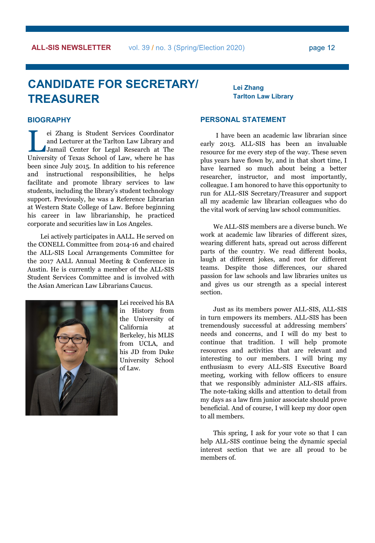# **CANDIDATE FOR SECRETARY/ TREASURER**

**Lei Zhang Tarlton Law Library**

### **BIOGRAPHY**

ei Zhang is Student Services Coordinator<br>and Lecturer at the Tarlton Law Library and<br>Jamail Center for Legal Research at The<br>University of Texas School of Law, where he has ei Zhang is Student Services Coordinator and Lecturer at the Tarlton Law Library and Jamail Center for Legal Research at The been since July 2015. In addition to his reference and instructional responsibilities, he helps facilitate and promote library services to law students, including the library's student technology support. Previously, he was a Reference Librarian at Western State College of Law. Before beginning his career in law librarianship, he practiced corporate and securities law in Los Angeles.

Lei actively participates in AALL. He served on the CONELL Committee from 2014-16 and chaired the ALL-SIS Local Arrangements Committee for the 2017 AALL Annual Meeting & Conference in Austin. He is currently a member of the ALL-SIS Student Services Committee and is involved with the Asian American Law Librarians Caucus.



Lei received his BA in History from the University of California at Berkeley, his MLIS from UCLA, and his JD from Duke University School of Law.

### **PERSONAL STATEMENT**

I have been an academic law librarian since early 2013. ALL-SIS has been an invaluable resource for me every step of the way. These seven plus years have flown by, and in that short time, I have learned so much about being a better researcher, instructor, and most importantly, colleague. I am honored to have this opportunity to run for ALL-SIS Secretary/Treasurer and support all my academic law librarian colleagues who do the vital work of serving law school communities.

We ALL-SIS members are a diverse bunch. We work at academic law libraries of different sizes, wearing different hats, spread out across different parts of the country. We read different books, laugh at different jokes, and root for different teams. Despite those differences, our shared passion for law schools and law libraries unites us and gives us our strength as a special interest section.

Just as its members power ALL-SIS, ALL-SIS in turn empowers its members. ALL-SIS has been tremendously successful at addressing members' needs and concerns, and I will do my best to continue that tradition. I will help promote resources and activities that are relevant and interesting to our members. I will bring my enthusiasm to every ALL-SIS Executive Board meeting, working with fellow officers to ensure that we responsibly administer ALL-SIS affairs. The note-taking skills and attention to detail from my days as a law firm junior associate should prove beneficial. And of course, I will keep my door open to all members.

This spring, I ask for your vote so that I can help ALL-SIS continue being the dynamic special interest section that we are all proud to be members of.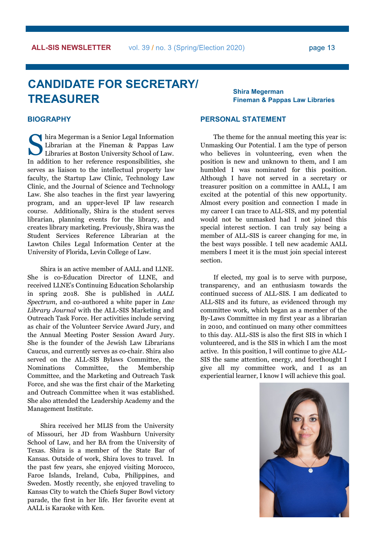#### page 13

## **CANDIDATE FOR SECRETARY/ TREASURER**

**Shira Megerman Fineman & Pappas Law Libraries**

### **BIOGRAPHY**

hira Megerman is a Senior Legal Information<br>Librarian at the Fineman & Pappas Law<br>Libraries at Boston University School of Law. Librarian at the Fineman & Pappas Law Libraries at Boston University School of Law. In addition to her reference responsibilities, she serves as liaison to the intellectual property law faculty, the Startup Law Clinic, Technology Law Clinic, and the Journal of Science and Technology Law. She also teaches in the first year lawyering program, and an upper-level IP law research course. Additionally, Shira is the student serves librarian, planning events for the library, and creates library marketing. Previously, Shira was the Student Services Reference Librarian at the Lawton Chiles Legal Information Center at the University of Florida, Levin College of Law.

Shira is an active member of AALL and LLNE. She is co-Education Director of LLNE, and received LLNE's Continuing Education Scholarship in spring 2018. She is published in *AALL Spectrum*, and co-authored a white paper in *Law Library Journal* with the ALL-SIS Marketing and Outreach Task Force. Her activities include serving as chair of the Volunteer Service Award Jury, and the Annual Meeting Poster Session Award Jury. She is the founder of the Jewish Law Librarians Caucus, and currently serves as co-chair. Shira also served on the ALL-SIS Bylaws Committee, the Nominations Committee, the Membership Committee, and the Marketing and Outreach Task Force, and she was the first chair of the Marketing and Outreach Committee when it was established. She also attended the Leadership Academy and the Management Institute.

Shira received her MLIS from the University of Missouri, her JD from Washburn University School of Law, and her BA from the University of Texas. Shira is a member of the State Bar of Kansas. Outside of work, Shira loves to travel. In the past few years, she enjoyed visiting Morocco, Faroe Islands, Ireland, Cuba, Philippines, and Sweden. Mostly recently, she enjoyed traveling to Kansas City to watch the Chiefs Super Bowl victory parade, the first in her life. Her favorite event at AALL is Karaoke with Ken.

### **PERSONAL STATEMENT**

The theme for the annual meeting this year is: Unmasking Our Potential. I am the type of person who believes in volunteering, even when the position is new and unknown to them, and I am humbled I was nominated for this position. Although I have not served in a secretary or treasurer position on a committee in AALL, I am excited at the potential of this new opportunity. Almost every position and connection I made in my career I can trace to ALL-SIS, and my potential would not be unmasked had I not joined this special interest section. I can truly say being a member of ALL-SIS is career changing for me, in the best ways possible. I tell new academic AALL members I meet it is the must join special interest section.

If elected, my goal is to serve with purpose, transparency, and an enthusiasm towards the continued success of ALL-SIS. I am dedicated to ALL-SIS and its future, as evidenced through my committee work, which began as a member of the By-Laws Committee in my first year as a librarian in 2010, and continued on many other committees to this day. ALL-SIS is also the first SIS in which I volunteered, and is the SIS in which I am the most active. In this position, I will continue to give ALL-SIS the same attention, energy, and forethought I give all my committee work, and I as an experiential learner, I know I will achieve this goal.